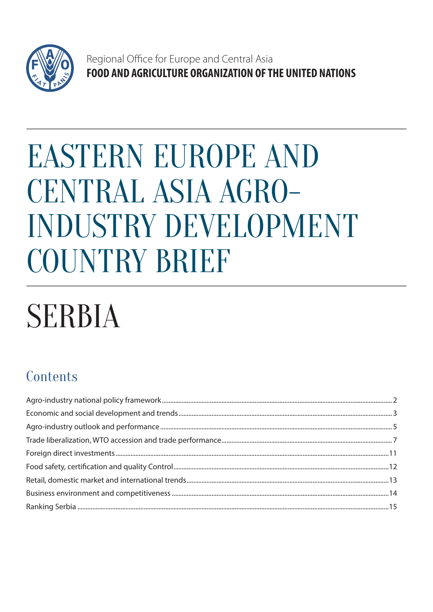

Regional Office for Europe and Central Asia FOOD AND AGRICULTURE ORGANIZATION OF THE UNITED NATIONS

# **EASTERN EUROPE AND** CENTRAL ASIA AGRO-**INDUSTRY DEVELOPMENT COUNTRY BRIEF**

# **SERBIA**

# Contents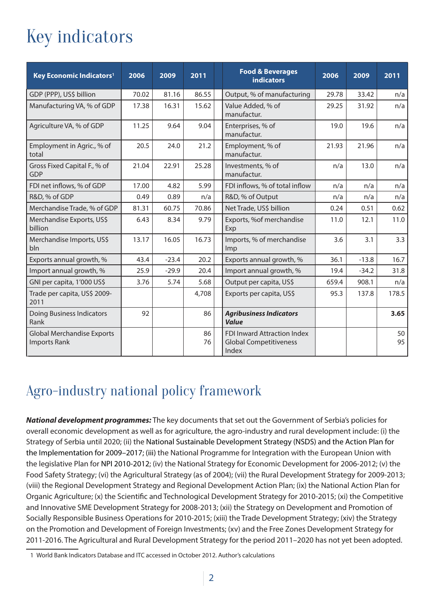# Key indicators

| Key Economic Indicators <sup>1</sup>              | 2006  | 2009    | 2011     | <b>Food &amp; Beverages</b><br><b>indicators</b>                      | 2006  | 2009    | 2011     |
|---------------------------------------------------|-------|---------|----------|-----------------------------------------------------------------------|-------|---------|----------|
| GDP (PPP), US\$ billion                           | 70.02 | 81.16   | 86.55    | Output, % of manufacturing                                            | 29.78 | 33.42   | n/a      |
| Manufacturing VA, % of GDP                        | 17.38 | 16.31   | 15.62    | Value Added, % of<br>manufactur.                                      | 29.25 | 31.92   | n/a      |
| Agriculture VA, % of GDP                          | 11.25 | 9.64    | 9.04     | Enterprises, % of<br>manufactur.                                      | 19.0  | 19.6    | n/a      |
| Employment in Agric., % of<br>total               | 20.5  | 24.0    | 21.2     | Employment, % of<br>manufactur.                                       | 21.93 | 21.96   | n/a      |
| Gross Fixed Capital F., % of<br><b>GDP</b>        | 21.04 | 22.91   | 25.28    | Investments, % of<br>manufactur.                                      | n/a   | 13.0    | n/a      |
| FDI net inflows, % of GDP                         | 17.00 | 4.82    | 5.99     | FDI inflows, % of total inflow                                        | n/a   | n/a     | n/a      |
| R&D, % of GDP                                     | 0.49  | 0.89    | n/a      | R&D, % of Output                                                      | n/a   | n/a     | n/a      |
| Merchandise Trade, % of GDP                       | 81.31 | 60.75   | 70.86    | Net Trade, US\$ billion                                               | 0.24  | 0.51    | 0.62     |
| Merchandise Exports, US\$<br>billion              | 6.43  | 8.34    | 9.79     | Exports, %of merchandise<br>Exp                                       | 11.0  | 12.1    | 11.0     |
| Merchandise Imports, US\$<br>bln                  | 13.17 | 16.05   | 16.73    | Imports, % of merchandise<br>Imp                                      | 3.6   | 3.1     | 3.3      |
| Exports annual growth, %                          | 43.4  | $-23.4$ | 20.2     | Exports annual growth, %                                              | 36.1  | $-13.8$ | 16.7     |
| Import annual growth, %                           | 25.9  | $-29.9$ | 20.4     | Import annual growth, %                                               | 19.4  | $-34.2$ | 31.8     |
| GNI per capita, 1'000 US\$                        | 3.76  | 5.74    | 5.68     | Output per capita, US\$                                               | 659.4 | 908.1   | n/a      |
| Trade per capita, US\$ 2009-<br>2011              |       |         | 4,708    | Exports per capita, US\$                                              | 95.3  | 137.8   | 178.5    |
| <b>Doing Business Indicators</b><br>Rank          | 92    |         | 86       | <b>Agribusiness Indicators</b><br><b>Value</b>                        |       |         | 3.65     |
| <b>Global Merchandise Exports</b><br>Imports Rank |       |         | 86<br>76 | FDI Inward Attraction Index<br><b>Global Competitiveness</b><br>Index |       |         | 50<br>95 |

# Agro-industry national policy framework

**National development programmes:** The key documents that set out the Government of Serbia's policies for overall economic development as well as for agriculture, the agro-industry and rural development include: (i) the Strategy of Serbia until 2020; (ii) the National Sustainable Development Strategy (NSDS) and the Action Plan for the Implementation for 2009–2017; (iii) the National Programme for Integration with the European Union with the legislative Plan for NPI 2010-2012; (iv) the National Strategy for Economic Development for 2006-2012; (v) the Food Safety Strategy; (vi) the Agricultural Strategy (as of 2004); (vii) the Rural Development Strategy for 2009-2013; (viii) the Regional Development Strategy and Regional Development Action Plan; (ix) the National Action Plan for Organic Agriculture; (x) the Scientific and Technological Development Strategy for 2010-2015; (xi) the Competitive and Innovative SME Development Strategy for 2008-2013; (xii) the Strategy on Development and Promotion of Socially Responsible Business Operations for 2010-2015; (xiii) the Trade Development Strategy; (xiv) the Strategy on the Promotion and Development of Foreign Investments; (xv) and the Free Zones Development Strategy for 2011-2016. The Agricultural and Rural Development Strategy for the period 2011–2020 has not yet been adopted.

<sup>1</sup> World Bank Indicators Database and ITC accessed in October 2012. Author's calculations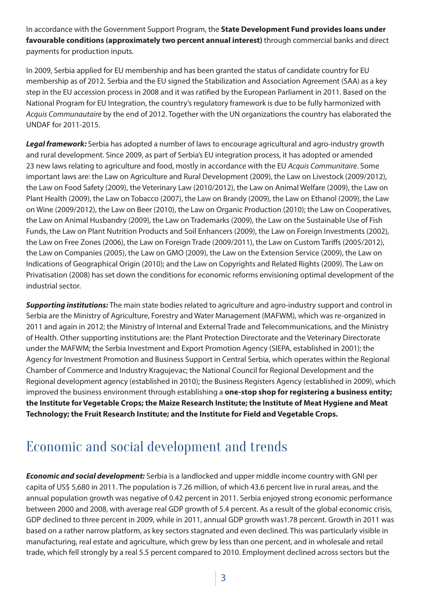In accordance with the Government Support Program, the **State Development Fund provides loans under favourable conditions (approximately two percent annual interest)** through commercial banks and direct payments for production inputs.

In 2009, Serbia applied for EU membership and has been granted the status of candidate country for EU membership as of 2012. Serbia and the EU signed the Stabilization and Association Agreement (SAA) as a key step in the EU accession process in 2008 and it was ratified by the European Parliament in 2011. Based on the National Program for EU Integration, the country's regulatory framework is due to be fully harmonized with *Acquis Communautaire* by the end of 2012. Together with the UN organizations the country has elaborated the UNDAF for 2011-2015.

**Legal framework:** Serbia has adopted a number of laws to encourage agricultural and agro-industry growth and rural development. Since 2009, as part of Serbia's EU integration process, it has adopted or amended 23 new laws relating to agriculture and food, mostly in accordance with the EU *Acquis Communitaire*. Some important laws are: the Law on Agriculture and Rural Development (2009), the Law on Livestock (2009/2012), the Law on Food Safety (2009), the Veterinary Law (2010/2012), the Law on Animal Welfare (2009), the Law on Plant Health (2009), the Law on Tobacco (2007), the Law on Brandy (2009), the Law on Ethanol (2009), the Law on Wine (2009/2012), the Law on Beer (2010), the Law on Organic Production (2010); the Law on Cooperatives, the Law on Animal Husbandry (2009), the Law on Trademarks (2009), the Law on the Sustainable Use of Fish Funds, the Law on Plant Nutrition Products and Soil Enhancers (2009), the Law on Foreign Investments (2002), the Law on Free Zones (2006), the Law on Foreign Trade (2009/2011), the Law on Custom Tariffs (2005/2012), the Law on Companies (2005), the Law on GMO (2009), the Law on the Extension Service (2009), the Law on Indications of Geographical Origin (2010); and the Law on Copyrights and Related Rights (2009). The Law on Privatisation (2008) has set down the conditions for economic reforms envisioning optimal development of the industrial sector.

**Supporting institutions:** The main state bodies related to agriculture and agro-industry support and control in Serbia are the Ministry of Agriculture, Forestry and Water Management (MAFWM), which was re-organized in 2011 and again in 2012; the Ministry of Internal and External Trade and Telecommunications, and the Ministry of Health. Other supporting institutions are: the Plant Protection Directorate and the Veterinary Directorate under the MAFWM; the Serbia Investment and Export Promotion Agency (SIEPA, established in 2001); the Agency for Investment Promotion and Business Support in Central Serbia, which operates within the Regional Chamber of Commerce and Industry Kragujevac; the National Council for Regional Development and the Regional development agency (established in 2010); the Business Registers Agency (established in 2009), which improved the business environment through establishing a **one-stop shop for registering a business entity; the Institute for Vegetable Crops; the Maize Research Institute; the Institute of Meat Hygiene and Meat Technology; the Fruit Research Institute; and the Institute for Field and Vegetable Crops.**

# Economic and social development and trends

**Economic and social development:** Serbia is a landlocked and upper middle income country with GNI per capita of US\$ 5,680 in 2011. The population is 7.26 million, of which 43.6 percent live in rural areas, and the annual population growth was negative of 0.42 percent in 2011. Serbia enjoyed strong economic performance between 2000 and 2008, with average real GDP growth of 5.4 percent. As a result of the global economic crisis, GDP declined to three percent in 2009, while in 2011, annual GDP growth was1.78 percent. Growth in 2011 was based on a rather narrow platform, as key sectors stagnated and even declined. This was particularly visible in manufacturing, real estate and agriculture, which grew by less than one percent, and in wholesale and retail trade, which fell strongly by a real 5.5 percent compared to 2010. Employment declined across sectors but the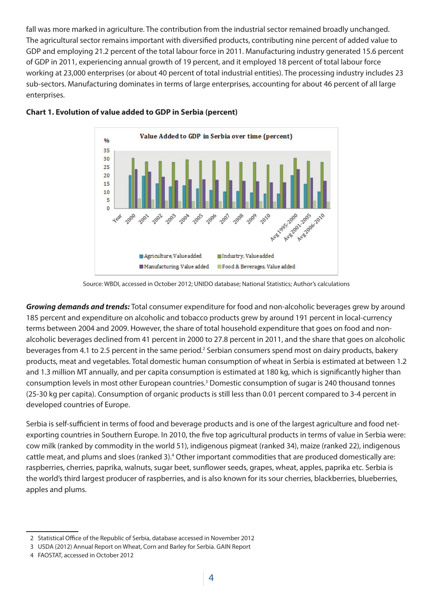fall was more marked in agriculture. The contribution from the industrial sector remained broadly unchanged. The agricultural sector remains important with diversified products, contributing nine percent of added value to GDP and employing 21.2 percent of the total labour force in 2011. Manufacturing industry generated 15.6 percent of GDP in 2011, experiencing annual growth of 19 percent, and it employed 18 percent of total labour force working at 23,000 enterprises (or about 40 percent of total industrial entities). The processing industry includes 23 sub-sectors. Manufacturing dominates in terms of large enterprises, accounting for about 46 percent of all large enterprises.



#### **Chart 1. Evolution of value added to GDP in Serbia (percent)**

Source: WBDI, accessed in October 2012; UNIDO database; National Statistics; Author's calculations

**Growing demands and trends:** Total consumer expenditure for food and non-alcoholic beverages grew by around 185 percent and expenditure on alcoholic and tobacco products grew by around 191 percent in local-currency terms between 2004 and 2009. However, the share of total household expenditure that goes on food and nonalcoholic beverages declined from 41 percent in 2000 to 27.8 percent in 2011, and the share that goes on alcoholic beverages from 4.1 to 2.5 percent in the same period.<sup>2</sup> Serbian consumers spend most on dairy products, bakery products, meat and vegetables. Total domestic human consumption of wheat in Serbia is estimated at between 1.2 and 1.3 million MT annually, and per capita consumption is estimated at 180 kg, which is significantly higher than consumption levels in most other European countries.<sup>3</sup> Domestic consumption of sugar is 240 thousand tonnes (25-30 kg per capita). Consumption of organic products is still less than 0.01 percent compared to 3-4 percent in developed countries of Europe.

Serbia is self-sufficient in terms of food and beverage products and is one of the largest agriculture and food netexporting countries in Southern Europe. In 2010, the five top agricultural products in terms of value in Serbia were: cow milk (ranked by commodity in the world 51), indigenous pigmeat (ranked 34), maize (ranked 22), indigenous cattle meat, and plums and sloes (ranked 3).<sup>4</sup> Other important commodities that are produced domestically are: raspberries, cherries, paprika, walnuts, sugar beet, sunflower seeds, grapes, wheat, apples, paprika etc. Serbia is the world's third largest producer of raspberries, and is also known for its sour cherries, blackberries, blueberries, apples and plums.

<sup>2</sup> Statistical Office of the Republic of Serbia, database accessed in November 2012

<sup>3</sup> USDA (2012) Annual Report on Wheat, Corn and Barley for Serbia. GAIN Report

<sup>4</sup> FAOSTAT, accessed in October 2012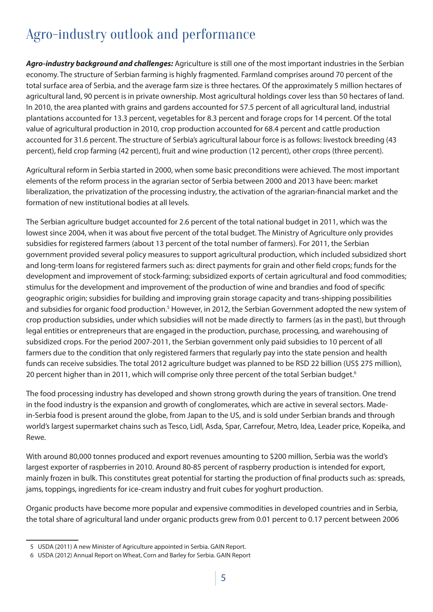# Agro-industry outlook and performance

**Agro-industry background and challenges:** Agriculture is still one of the most important industries in the Serbian economy. The structure of Serbian farming is highly fragmented. Farmland comprises around 70 percent of the total surface area of Serbia, and the average farm size is three hectares. Of the approximately 5 million hectares of agricultural land, 90 percent is in private ownership. Most agricultural holdings cover less than 50 hectares of land. In 2010, the area planted with grains and gardens accounted for 57.5 percent of all agricultural land, industrial plantations accounted for 13.3 percent, vegetables for 8.3 percent and forage crops for 14 percent. Of the total value of agricultural production in 2010, crop production accounted for 68.4 percent and cattle production accounted for 31.6 percent. The structure of Serbia's agricultural labour force is as follows: livestock breeding (43 percent), field crop farming (42 percent), fruit and wine production (12 percent), other crops (three percent).

Agricultural reform in Serbia started in 2000, when some basic preconditions were achieved. The most important elements of the reform process in the agrarian sector of Serbia between 2000 and 2013 have been: market liberalization, the privatization of the processing industry, the activation of the agrarian-financial market and the formation of new institutional bodies at all levels.

The Serbian agriculture budget accounted for 2.6 percent of the total national budget in 2011, which was the lowest since 2004, when it was about five percent of the total budget. The Ministry of Agriculture only provides subsidies for registered farmers (about 13 percent of the total number of farmers). For 2011, the Serbian government provided several policy measures to support agricultural production, which included subsidized short and long-term loans for registered farmers such as: direct payments for grain and other field crops; funds for the development and improvement of stock-farming; subsidized exports of certain agricultural and food commodities; stimulus for the development and improvement of the production of wine and brandies and food of specific geographic origin; subsidies for building and improving grain storage capacity and trans-shipping possibilities and subsidies for organic food production.<sup>5</sup> However, in 2012, the Serbian Government adopted the new system of crop production subsidies, under which subsidies will not be made directly to farmers (as in the past), but through legal entities or entrepreneurs that are engaged in the production, purchase, processing, and warehousing of subsidized crops. For the period 2007-2011, the Serbian government only paid subsidies to 10 percent of all farmers due to the condition that only registered farmers that regularly pay into the state pension and health funds can receive subsidies. The total 2012 agriculture budget was planned to be RSD 22 billion (US\$ 275 million), 20 percent higher than in 2011, which will comprise only three percent of the total Serbian budget.<sup>6</sup>

The food processing industry has developed and shown strong growth during the years of transition. One trend in the food industry is the expansion and growth of conglomerates, which are active in several sectors. Madein-Serbia food is present around the globe, from Japan to the US, and is sold under Serbian brands and through world's largest supermarket chains such as Tesco, Lidl, Asda, Spar, Carrefour, Metro, Idea, Leader price, Kopeika, and Rewe.

With around 80,000 tonnes produced and export revenues amounting to \$200 million, Serbia was the world's largest exporter of raspberries in 2010. Around 80-85 percent of raspberry production is intended for export, mainly frozen in bulk. This constitutes great potential for starting the production of final products such as: spreads, jams, toppings, ingredients for ice-cream industry and fruit cubes for yoghurt production.

Organic products have become more popular and expensive commodities in developed countries and in Serbia, the total share of agricultural land under organic products grew from 0.01 percent to 0.17 percent between 2006

<sup>5</sup> USDA (2011) A new Minister of Agriculture appointed in Serbia. GAIN Report.

<sup>6</sup> USDA (2012) Annual Report on Wheat, Corn and Barley for Serbia. GAIN Report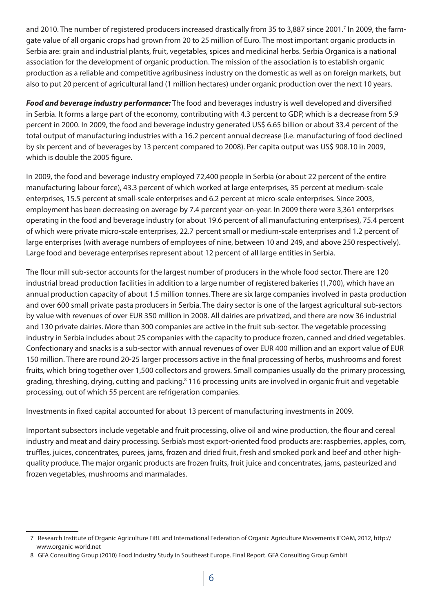and 2010. The number of registered producers increased drastically from 35 to 3,887 since 2001.<sup>7</sup> In 2009, the farmgate value of all organic crops had grown from 20 to 25 million of Euro. The most important organic products in Serbia are: grain and industrial plants, fruit, vegetables, spices and medicinal herbs. Serbia Organica is a national association for the development of organic production. The mission of the association is to establish organic production as a reliable and competitive agribusiness industry on the domestic as well as on foreign markets, but also to put 20 percent of agricultural land (1 million hectares) under organic production over the next 10 years.

Food and beverage industry performance: The food and beverages industry is well developed and diversified in Serbia. It forms a large part of the economy, contributing with 4.3 percent to GDP, which is a decrease from 5.9 percent in 2000. In 2009, the food and beverage industry generated US\$ 6.65 billion or about 33.4 percent of the total output of manufacturing industries with a 16.2 percent annual decrease (i.e. manufacturing of food declined by six percent and of beverages by 13 percent compared to 2008). Per capita output was US\$ 908.10 in 2009, which is double the 2005 figure.

In 2009, the food and beverage industry employed 72,400 people in Serbia (or about 22 percent of the entire manufacturing labour force), 43.3 percent of which worked at large enterprises, 35 percent at medium-scale enterprises, 15.5 percent at small-scale enterprises and 6.2 percent at micro-scale enterprises. Since 2003, employment has been decreasing on average by 7.4 percent year-on-year. In 2009 there were 3,361 enterprises operating in the food and beverage industry (or about 19.6 percent of all manufacturing enterprises), 75.4 percent of which were private micro-scale enterprises, 22.7 percent small or medium-scale enterprises and 1.2 percent of large enterprises (with average numbers of employees of nine, between 10 and 249, and above 250 respectively). Large food and beverage enterprises represent about 12 percent of all large entities in Serbia.

The flour mill sub-sector accounts for the largest number of producers in the whole food sector. There are 120 industrial bread production facilities in addition to a large number of registered bakeries (1,700), which have an annual production capacity of about 1.5 million tonnes. There are six large companies involved in pasta production and over 600 small private pasta producers in Serbia. The dairy sector is one of the largest agricultural sub-sectors by value with revenues of over EUR 350 million in 2008. All dairies are privatized, and there are now 36 industrial and 130 private dairies. More than 300 companies are active in the fruit sub-sector. The vegetable processing industry in Serbia includes about 25 companies with the capacity to produce frozen, canned and dried vegetables. Confectionary and snacks is a sub-sector with annual revenues of over EUR 400 million and an export value of EUR 150 million. There are round 20-25 larger processors active in the final processing of herbs, mushrooms and forest fruits, which bring together over 1,500 collectors and growers. Small companies usually do the primary processing, grading, threshing, drying, cutting and packing.<sup>8</sup> 116 processing units are involved in organic fruit and vegetable processing, out of which 55 percent are refrigeration companies.

Investments in fixed capital accounted for about 13 percent of manufacturing investments in 2009.

Important subsectors include vegetable and fruit processing, olive oil and wine production, the flour and cereal industry and meat and dairy processing. Serbia's most export-oriented food products are: raspberries, apples, corn, truffles, juices, concentrates, purees, jams, frozen and dried fruit, fresh and smoked pork and beef and other highquality produce. The major organic products are frozen fruits, fruit juice and concentrates, jams, pasteurized and frozen vegetables, mushrooms and marmalades.

<sup>7</sup> Research Institute of Organic Agriculture FiBL and International Federation of Organic Agriculture Movements IFOAM, 2012, http:// www.organic-world.net

<sup>8</sup> GFA Consulting Group (2010) Food Industry Study in Southeast Europe. Final Report. GFA Consulting Group GmbH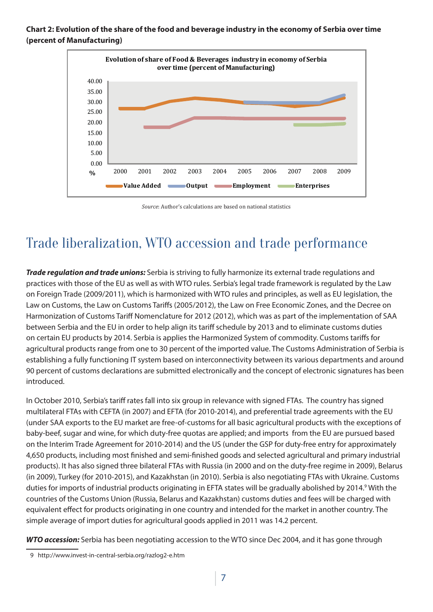#### **Chart 2: Evolution of the share of the food and beverage industry in the economy of Serbia over time (percent of Manufacturing)**



*Source*: Author's calculations are based on national statistics

# Trade liberalization, WTO accession and trade performance

**Trade regulation and trade unions:** Serbia is striving to fully harmonize its external trade regulations and practices with those of the EU as well as with WTO rules. Serbia's legal trade framework is regulated by the Law on Foreign Trade (2009/2011), which is harmonized with WTO rules and principles, as well as EU legislation, the Law on Customs, the Law on Customs Tariffs (2005/2012), the Law on Free Economic Zones, and the Decree on Harmonization of Customs Tariff Nomenclature for 2012 (2012), which was as part of the implementation of SAA between Serbia and the EU in order to help align its tariff schedule by 2013 and to eliminate customs duties on certain EU products by 2014. Serbia is applies the Harmonized System of commodity. Customs tariffs for agricultural products range from one to 30 percent of the imported value. The Customs Administration of Serbia is establishing a fully functioning IT system based on interconnectivity between its various departments and around 90 percent of customs declarations are submitted electronically and the concept of electronic signatures has been introduced.

In October 2010, Serbia's tariff rates fall into six group in relevance with signed FTAs. The country has signed multilateral FTAs with CEFTA (in 2007) and EFTA (for 2010-2014), and preferential trade agreements with the EU (under SAA exports to the EU market are free-of-customs for all basic agricultural products with the exceptions of baby-beef, sugar and wine, for which duty-free quotas are applied; and imports from the EU are pursued based on the Interim Trade Agreement for 2010-2014) and the US (under the GSP for duty-free entry for approximately 4,650 products, including most finished and semi-finished goods and selected agricultural and primary industrial products). It has also signed three bilateral FTAs with Russia (in 2000 and on the duty-free regime in 2009), Belarus (in 2009), Turkey (for 2010-2015), and Kazakhstan (in 2010). Serbia is also negotiating FTAs with Ukraine. Customs duties for imports of industrial products originating in EFTA states will be gradually abolished by 2014.<sup>9</sup> With the countries of the Customs Union (Russia, Belarus and Kazakhstan) customs duties and fees will be charged with equivalent effect for products originating in one country and intended for the market in another country. The simple average of import duties for agricultural goods applied in 2011 was 14.2 percent.

**WTO accession:** Serbia has been negotiating accession to the WTO since Dec 2004, and it has gone through

<sup>9</sup> http://www.invest-in-central-serbia.org/razlog2-e.htm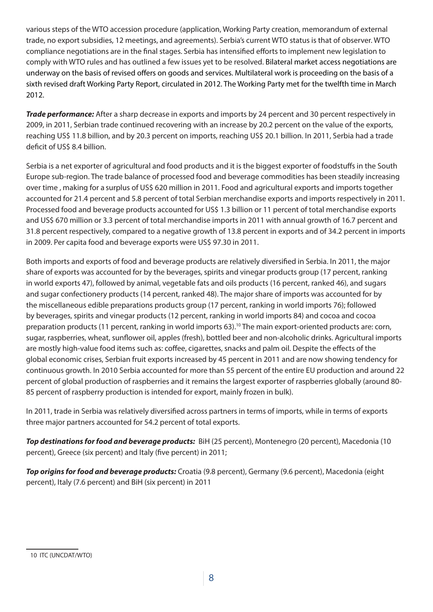various steps of the WTO accession procedure (application, Working Party creation, memorandum of external trade, no export subsidies, 12 meetings, and agreements). Serbia's current WTO status is that of observer. WTO compliance negotiations are in the final stages. Serbia has intensified efforts to implement new legislation to comply with WTO rules and has outlined a few issues yet to be resolved. Bilateral market access negotiations are underway on the basis of revised offers on goods and services. Multilateral work is proceeding on the basis of a sixth revised draft Working Party Report, circulated in 2012. The Working Party met for the twelfth time in March 2012.

**Trade performance:** After a sharp decrease in exports and imports by 24 percent and 30 percent respectively in 2009, in 2011, Serbian trade continued recovering with an increase by 20.2 percent on the value of the exports, reaching US\$ 11.8 billion, and by 20.3 percent on imports, reaching US\$ 20.1 billion. In 2011, Serbia had a trade deficit of US\$ 8.4 billion.

Serbia is a net exporter of agricultural and food products and it is the biggest exporter of foodstuffs in the South Europe sub-region. The trade balance of processed food and beverage commodities has been steadily increasing over time , making for a surplus of US\$ 620 million in 2011. Food and agricultural exports and imports together accounted for 21.4 percent and 5.8 percent of total Serbian merchandise exports and imports respectively in 2011. Processed food and beverage products accounted for US\$ 1.3 billion or 11 percent of total merchandise exports and US\$ 670 million or 3.3 percent of total merchandise imports in 2011 with annual growth of 16.7 percent and 31.8 percent respectively, compared to a negative growth of 13.8 percent in exports and of 34.2 percent in imports in 2009. Per capita food and beverage exports were US\$ 97.30 in 2011.

Both imports and exports of food and beverage products are relatively diversified in Serbia. In 2011, the major share of exports was accounted for by the beverages, spirits and vinegar products group (17 percent, ranking in world exports 47), followed by animal, vegetable fats and oils products (16 percent, ranked 46), and sugars and sugar confectionery products (14 percent, ranked 48). The major share of imports was accounted for by the miscellaneous edible preparations products group (17 percent, ranking in world imports 76); followed by beverages, spirits and vinegar products (12 percent, ranking in world imports 84) and cocoa and cocoa preparation products (11 percent, ranking in world imports 63).<sup>10</sup> The main export-oriented products are: corn, sugar, raspberries, wheat, sunflower oil, apples (fresh), bottled beer and non-alcoholic drinks. Agricultural imports are mostly high-value food items such as: coffee, cigarettes, snacks and palm oil. Despite the effects of the global economic crises, Serbian fruit exports increased by 45 percent in 2011 and are now showing tendency for continuous growth. In 2010 Serbia accounted for more than 55 percent of the entire EU production and around 22 percent of global production of raspberries and it remains the largest exporter of raspberries globally (around 80- 85 percent of raspberry production is intended for export, mainly frozen in bulk).

In 2011, trade in Serbia was relatively diversified across partners in terms of imports, while in terms of exports three major partners accounted for 54.2 percent of total exports.

**Top destinations for food and beverage products:** BiH (25 percent), Montenegro (20 percent), Macedonia (10 percent), Greece (six percent) and Italy (five percent) in 2011;

**Top origins for food and beverage products:** Croatia (9.8 percent), Germany (9.6 percent), Macedonia (eight percent), Italy (7.6 percent) and BiH (six percent) in 2011

<sup>10</sup> ITC (UNCDAT/WTO)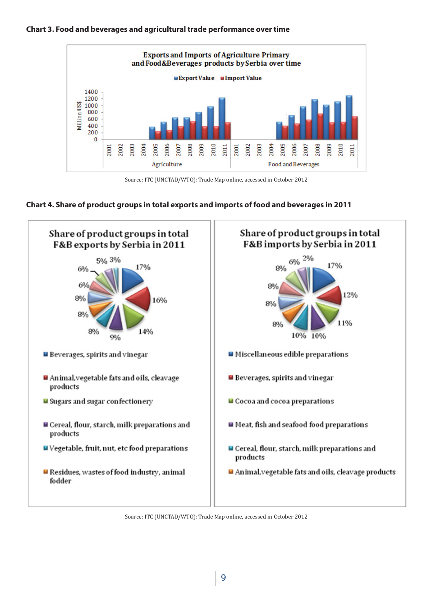



Source: ITC (UNCTAD/WTO): Trade Map online, accessed in October 2012





Source: ITC (UNCTAD/WTO): Trade Map online, accessed in October 2012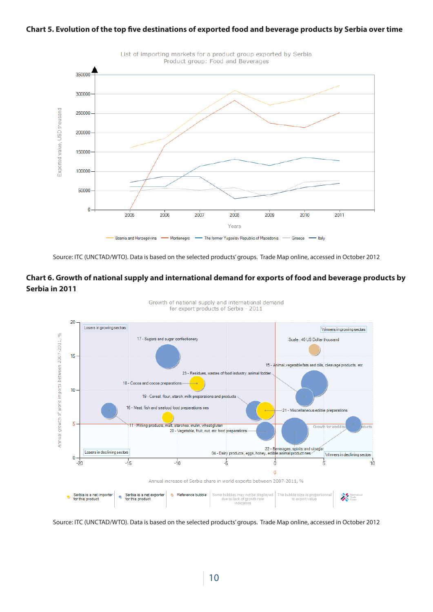#### **Chart 5. Evolution of the top five destinations of exported food and beverage products by Serbia over time**



Source: ITC (UNCTAD/WTO). Data is based on the selected products' groups. Trade Map online, accessed in October 2012

#### **Chart 6. Growth of national supply and international demand for exports of food and beverage products by Serbia in 2011**



Growth of national supply and international demand for export products of Serbia - 2011

Source: ITC (UNCTAD/WTO). Data is based on the selected products' groups. Trade Map online, accessed in October 2012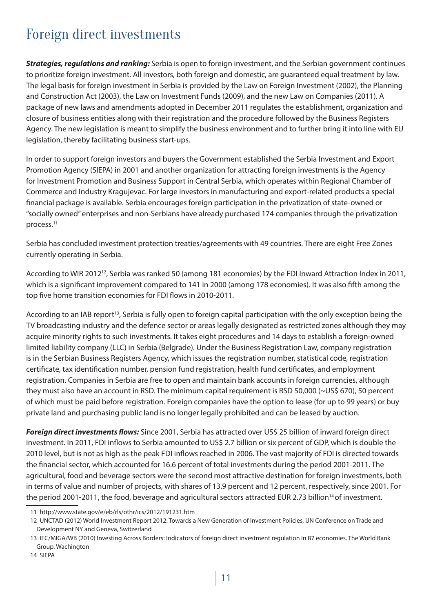## Foreign direct investments

**Strategies, regulations and ranking:** Serbia is open to foreign investment, and the Serbian government continues to prioritize foreign investment. All investors, both foreign and domestic, are guaranteed equal treatment by law. The legal basis for foreign investment in Serbia is provided by the Law on Foreign Investment (2002), the Planning and Construction Act (2003), the Law on Investment Funds (2009), and the new Law on Companies (2011). A package of new laws and amendments adopted in December 2011 regulates the establishment, organization and closure of business entities along with their registration and the procedure followed by the Business Registers Agency. The new legislation is meant to simplify the business environment and to further bring it into line with EU legislation, thereby facilitating business start-ups.

In order to support foreign investors and buyers the Government established the Serbia Investment and Export Promotion Agency (SIEPA) in 2001 and another organization for attracting foreign investments is the Agency for Investment Promotion and Business Support in Central Serbia, which operates within Regional Chamber of Commerce and Industry Kragujevac. For large investors in manufacturing and export-related products a special financial package is available. Serbia encourages foreign participation in the privatization of state-owned or "socially owned" enterprises and non-Serbians have already purchased 174 companies through the privatization process.11

Serbia has concluded investment protection treaties/agreements with 49 countries. There are eight Free Zones currently operating in Serbia.

According to WIR 2012<sup>12</sup>, Serbia was ranked 50 (among 181 economies) by the FDI Inward Attraction Index in 2011, which is a significant improvement compared to 141 in 2000 (among 178 economies). It was also fifth among the top five home transition economies for FDI flows in 2010-2011.

According to an IAB report<sup>13</sup>, Serbia is fully open to foreign capital participation with the only exception being the TV broadcasting industry and the defence sector or areas legally designated as restricted zones although they may acquire minority rights to such investments. It takes eight procedures and 14 days to establish a foreign-owned limited liability company (LLC) in Serbia (Belgrade). Under the Business Registration Law, company registration is in the Serbian Business Registers Agency, which issues the registration number, statistical code, registration certificate, tax identification number, pension fund registration, health fund certificates, and employment registration. Companies in Serbia are free to open and maintain bank accounts in foreign currencies, although they must also have an account in RSD. The minimum capital requirement is RSD 50,000 (~US\$ 670), 50 percent of which must be paid before registration. Foreign companies have the option to lease (for up to 99 years) or buy private land and purchasing public land is no longer legally prohibited and can be leased by auction.

**Foreign direct investments flows:** Since 2001, Serbia has attracted over US\$ 25 billion of inward foreign direct investment. In 2011, FDI inflows to Serbia amounted to US\$ 2.7 billion or six percent of GDP, which is double the 2010 level, but is not as high as the peak FDI inflows reached in 2006. The vast majority of FDI is directed towards the financial sector, which accounted for 16.6 percent of total investments during the period 2001-2011. The agricultural, food and beverage sectors were the second most attractive destination for foreign investments, both in terms of value and number of projects, with shares of 13.9 percent and 12 percent, respectively, since 2001. For the period 2001-2011, the food, beverage and agricultural sectors attracted EUR 2.73 billion<sup>14</sup> of investment.

<sup>11</sup> http://www.state.gov/e/eb/rls/othr/ics/2012/191231.htm

<sup>12</sup> UNCTAD (2012) World Investment Report 2012: Towards a New Generation of Investment Policies, UN Conference on Trade and Development NY and Geneva, Switzerland

<sup>13</sup> IFC/MIGA/WB (2010) Investing Across Borders: Indicators of foreign direct investment regulation in 87 economies. The World Bank Group. Wachington

<sup>14</sup> SIEPA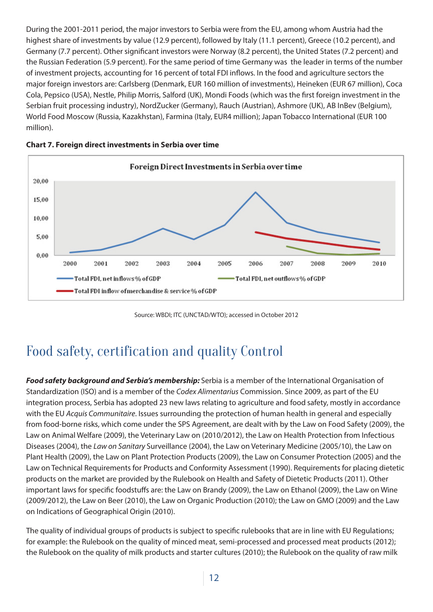During the 2001-2011 period, the major investors to Serbia were from the EU, among whom Austria had the highest share of investments by value (12.9 percent), followed by Italy (11.1 percent), Greece (10.2 percent), and Germany (7.7 percent). Other significant investors were Norway (8.2 percent), the United States (7.2 percent) and the Russian Federation (5.9 percent). For the same period of time Germany was the leader in terms of the number of investment projects, accounting for 16 percent of total FDI inflows. In the food and agriculture sectors the major foreign investors are: Carlsberg (Denmark, EUR 160 million of investments), Heineken (EUR 67 million), Coca Cola, Pepsico (USA), Nestle, Philip Morris, Salford (UK), Mondi Foods (which was the first foreign investment in the Serbian fruit processing industry), NordZucker (Germany), Rauch (Austrian), Ashmore (UK), AB InBev (Belgium), World Food Moscow (Russia, Kazakhstan), Farmina (Italy, EUR4 million); Japan Tobacco International (EUR 100 million).





Source: WBDI; ITC (UNCTAD/WTO); accessed in October 2012

## Food safety, certification and quality Control

**Food safety background and Serbia's membership:** Serbia is a member of the International Organisation of Standardization (ISO) and is a member of the *Codex Alimentarius* Commission. Since 2009, as part of the EU integration process, Serbia has adopted 23 new laws relating to agriculture and food safety, mostly in accordance with the EU *Acquis Communitaire*. Issues surrounding the protection of human health in general and especially from food-borne risks, which come under the SPS Agreement, are dealt with by the Law on Food Safety (2009), the Law on Animal Welfare (2009), the Veterinary Law on (2010/2012), the Law on Health Protection from Infectious Diseases (2004), the *Law on Sanitary* Surveillance (2004), the Law on Veterinary Medicine (2005/10), the Law on Plant Health (2009), the Law on Plant Protection Products (2009), the Law on Consumer Protection (2005) and the Law on Technical Requirements for Products and Conformity Assessment (1990). Requirements for placing dietetic products on the market are provided by the Rulebook on Health and Safety of Dietetic Products (2011). Other important laws for specific foodstuffs are: the Law on Brandy (2009), the Law on Ethanol (2009), the Law on Wine (2009/2012), the Law on Beer (2010), the Law on Organic Production (2010); the Law on GMO (2009) and the Law on Indications of Geographical Origin (2010).

The quality of individual groups of products is subject to specific rulebooks that are in line with EU Regulations; for example: the Rulebook on the quality of minced meat, semi-processed and processed meat products (2012); the Rulebook on the quality of milk products and starter cultures (2010); the Rulebook on the quality of raw milk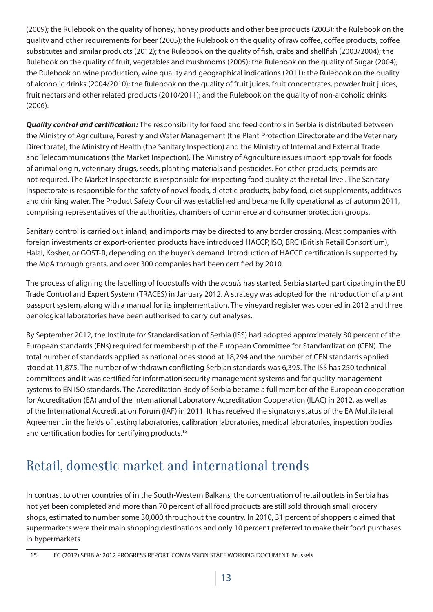(2009); the Rulebook on the quality of honey, honey products and other bee products (2003); the Rulebook on the quality and other requirements for beer (2005); the Rulebook on the quality of raw coffee, coffee products, coffee substitutes and similar products (2012); the Rulebook on the quality of fish, crabs and shellfish (2003/2004); the Rulebook on the quality of fruit, vegetables and mushrooms (2005); the Rulebook on the quality of Sugar (2004); the Rulebook on wine production, wine quality and geographical indications (2011); the Rulebook on the quality of alcoholic drinks (2004/2010); the Rulebook on the quality of fruit juices, fruit concentrates, powder fruit juices, fruit nectars and other related products (2010/2011); and the Rulebook on the quality of non-alcoholic drinks (2006).

**Quality control and certification:** The responsibility for food and feed controls in Serbia is distributed between the Ministry of Agriculture, Forestry and Water Management (the Plant Protection Directorate and the Veterinary Directorate), the Ministry of Health (the Sanitary Inspection) and the Ministry of Internal and External Trade and Telecommunications (the Market Inspection). The Ministry of Agriculture issues import approvals for foods of animal origin, veterinary drugs, seeds, planting materials and pesticides. For other products, permits are not required. The Market Inspectorate is responsible for inspecting food quality at the retail level. The Sanitary Inspectorate is responsible for the safety of novel foods, dietetic products, baby food, diet supplements, additives and drinking water. The Product Safety Council was established and became fully operational as of autumn 2011, comprising representatives of the authorities, chambers of commerce and consumer protection groups.

Sanitary control is carried out inland, and imports may be directed to any border crossing. Most companies with foreign investments or export-oriented products have introduced HACCP, ISO, BRC (British Retail Consortium), Halal, Kosher, or GOST-R, depending on the buyer's demand. Introduction of HACCP certification is supported by the MoA through grants, and over 300 companies had been certified by 2010.

The process of aligning the labelling of foodstuffs with the *acquis* has started. Serbia started participating in the EU Trade Control and Expert System (TRACES) in January 2012. A strategy was adopted for the introduction of a plant passport system, along with a manual for its implementation. The vineyard register was opened in 2012 and three oenological laboratories have been authorised to carry out analyses.

By September 2012, the Institute for Standardisation of Serbia (ISS) had adopted approximately 80 percent of the European standards (ENs) required for membership of the European Committee for Standardization (CEN). The total number of standards applied as national ones stood at 18,294 and the number of CEN standards applied stood at 11,875. The number of withdrawn conflicting Serbian standards was 6,395. The ISS has 250 technical committees and it was certified for information security management systems and for quality management systems to EN ISO standards. The Accreditation Body of Serbia became a full member of the European cooperation for Accreditation (EA) and of the International Laboratory Accreditation Cooperation (ILAC) in 2012, as well as of the International Accreditation Forum (IAF) in 2011. It has received the signatory status of the EA Multilateral Agreement in the fields of testing laboratories, calibration laboratories, medical laboratories, inspection bodies and certification bodies for certifying products.<sup>15</sup>

# Retail, domestic market and international trends

In contrast to other countries of in the South-Western Balkans, the concentration of retail outlets in Serbia has not yet been completed and more than 70 percent of all food products are still sold through small grocery shops, estimated to number some 30,000 throughout the country. In 2010, 31 percent of shoppers claimed that supermarkets were their main shopping destinations and only 10 percent preferred to make their food purchases in hypermarkets.

<sup>15</sup> EC (2012) SERBIA: 2012 PROGRESS REPORT. COMMISSION STAFF WORKING DOCUMENT. Brussels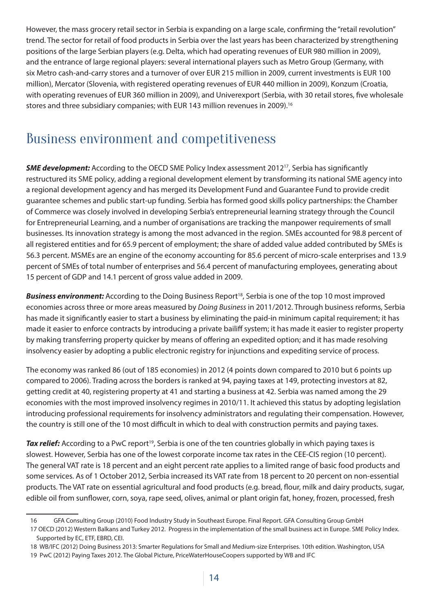However, the mass grocery retail sector in Serbia is expanding on a large scale, confirming the "retail revolution" trend. The sector for retail of food products in Serbia over the last years has been characterized by strengthening positions of the large Serbian players (e.g. Delta, which had operating revenues of EUR 980 million in 2009), and the entrance of large regional players: several international players such as Metro Group (Germany, with six Metro cash-and-carry stores and a turnover of over EUR 215 million in 2009, current investments is EUR 100 million), Mercator (Slovenia, with registered operating revenues of EUR 440 million in 2009), Konzum (Croatia, with operating revenues of EUR 360 million in 2009), and Univerexport (Serbia, with 30 retail stores, five wholesale stores and three subsidiary companies; with EUR 143 million revenues in 2009).<sup>16</sup>

### Business environment and competitiveness

**SME development:** According to the OECD SME Policy Index assessment 2012<sup>17</sup>, Serbia has significantly restructured its SME policy, adding a regional development element by transforming its national SME agency into a regional development agency and has merged its Development Fund and Guarantee Fund to provide credit guarantee schemes and public start-up funding. Serbia has formed good skills policy partnerships: the Chamber of Commerce was closely involved in developing Serbia's entrepreneurial learning strategy through the Council for Entrepreneurial Learning, and a number of organisations are tracking the manpower requirements of small businesses. Its innovation strategy is among the most advanced in the region. SMEs accounted for 98.8 percent of all registered entities and for 65.9 percent of employment; the share of added value added contributed by SMEs is 56.3 percent. MSMEs are an engine of the economy accounting for 85.6 percent of micro-scale enterprises and 13.9 percent of SMEs of total number of enterprises and 56.4 percent of manufacturing employees, generating about 15 percent of GDP and 14.1 percent of gross value added in 2009.

**Business environment:** According to the Doing Business Report<sup>18</sup>, Serbia is one of the top 10 most improved economies across three or more areas measured by *Doing Business* in 2011/2012. Through business reforms, Serbia has made it significantly easier to start a business by eliminating the paid-in minimum capital requirement; it has made it easier to enforce contracts by introducing a private bailiff system; it has made it easier to register property by making transferring property quicker by means of offering an expedited option; and it has made resolving insolvency easier by adopting a public electronic registry for injunctions and expediting service of process.

The economy was ranked 86 (out of 185 economies) in 2012 (4 points down compared to 2010 but 6 points up compared to 2006). Trading across the borders is ranked at 94, paying taxes at 149, protecting investors at 82, getting credit at 40, registering property at 41 and starting a business at 42. Serbia was named among the 29 economies with the most improved insolvency regimes in 2010/11. It achieved this status by adopting legislation introducing professional requirements for insolvency administrators and regulating their compensation. However, the country is still one of the 10 most difficult in which to deal with construction permits and paying taxes.

**Tax relief:** According to a PwC report<sup>19</sup>, Serbia is one of the ten countries globally in which paying taxes is slowest. However, Serbia has one of the lowest corporate income tax rates in the CEE-CIS region (10 percent). The general VAT rate is 18 percent and an eight percent rate applies to a limited range of basic food products and some services. As of 1 October 2012, Serbia increased its VAT rate from 18 percent to 20 percent on non-essential products. The VAT rate on essential agricultural and food products (e.g. bread, flour, milk and dairy products, sugar, edible oil from sunflower, corn, soya, rape seed, olives, animal or plant origin fat, honey, frozen, processed, fresh

<sup>16</sup> GFA Consulting Group (2010) Food Industry Study in Southeast Europe. Final Report. GFA Consulting Group GmbH

<sup>17</sup> OECD (2012) Western Balkans and Turkey 2012. Progress in the implementation of the small business act in Europe. SME Policy Index. Supported by EC, ETF, EBRD, CEI.

<sup>18</sup> WB/IFC (2012) Doing Business 2013: Smarter Regulations for Small and Medium-size Enterprises. 10th edition. Washington, USA

<sup>19</sup> PwC (2012) Paying Taxes 2012. The Global Picture, PriceWaterHouseCoopers supported by WB and IFC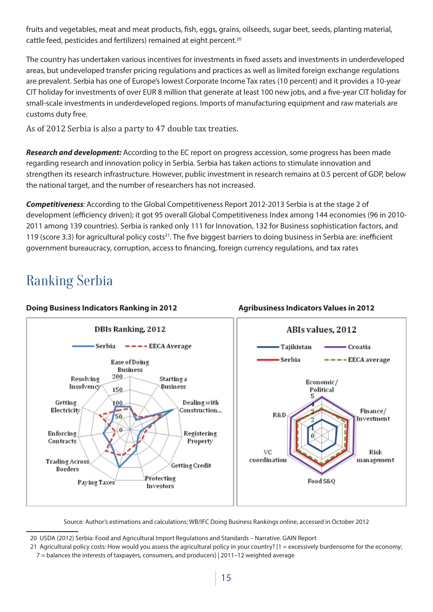fruits and vegetables, meat and meat products, fish, eggs, grains, oilseeds, sugar beet, seeds, planting material, cattle feed, pesticides and fertilizers) remained at eight percent.<sup>20</sup>

The country has undertaken various incentives for investments in fixed assets and investments in underdeveloped areas, but undeveloped transfer pricing regulations and practices as well as limited foreign exchange regulations are prevalent. Serbia has one of Europe's lowest Corporate Income Tax rates (10 percent) and it provides a 10-year CIT holiday for investments of over EUR 8 million that generate at least 100 new jobs, and a five-year CIT holiday for small-scale investments in underdeveloped regions. Imports of manufacturing equipment and raw materials are customs duty free.

As of 2012 Serbia is also a party to 47 double tax treaties.

**Research and development:** According to the EC report on progress accession, some progress has been made regarding research and innovation policy in Serbia. Serbia has taken actions to stimulate innovation and strengthen its research infrastructure. However, public investment in research remains at 0.5 percent of GDP, below the national target, and the number of researchers has not increased.

**Competitiveness***:* According to the Global Competitiveness Report 2012-2013 Serbia is at the stage 2 of development (efficiency driven); it got 95 overall Global Competitiveness Index among 144 economies (96 in 2010-2011 among 139 countries). Serbia is ranked only 111 for Innovation, 132 for Business sophistication factors, and 119 (score 3.3) for agricultural policy costs<sup>21</sup>. The five biggest barriers to doing business in Serbia are: inefficient government bureaucracy, corruption, access to financing, foreign currency regulations, and tax rates

# Ranking Serbia

#### **Doing Business Indicators Ranking in 2012 Agribusiness Indicators Values in 2012**



Source: Author's estimations and calculations; WB/IFC Doing Business Rankings online, accessed in October 2012

<sup>20</sup> USDA (2012) Serbia: Food and Agricultural Import Regulations and Standards – Narrative. GAIN Report

<sup>21</sup> Agricultural policy costs: How would you assess the agricultural policy in your country?  $[1 =$  excessively burdensome for the economy:

<sup>7 =</sup> balances the interests of taxpayers, consumers, and producers] | 2011–12 weighted average